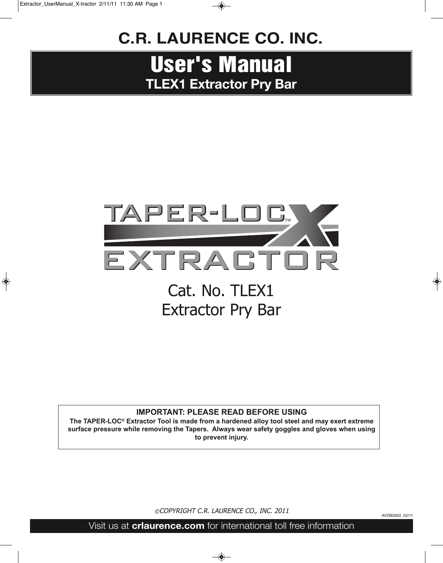### **C.R. LAURENCE Co. INC.**

# **User's Manual TLEX1 Extractor Pry Bar**



#### **IMPORTANT: PLEASE READ BEFORE USING**

**The TAPER-LOc® Extractor Tool is made from a hardened alloy tool steel and may exert extreme surface pressure while removing the Tapers. Always wear safety goggles and gloves when using to prevent injury.**

©COPYRIGHT C.R. LAURENCE CO., INC. 2011

AVDB3002\_02/11

Visit us at **crlaurence.com** for international toll free information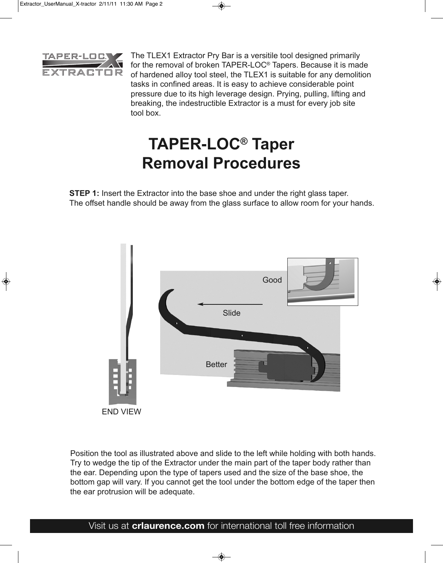

The TLEX1 Extractor Pry Bar is a versitile tool designed primarily for the removal of broken TAPER-LOC® Tapers. Because it is made of hardened alloy tool steel, the TLEX1 is suitable for any demolition tasks in confined areas. It is easy to achieve considerable point pressure due to its high leverage design. Prying, pulling, lifting and breaking, the indestructible Extractor is a must for every job site tool box.

# **TAPER-LOc® Taper Removal Procedures**

**STEP 1:** Insert the Extractor into the base shoe and under the right glass taper. The offset handle should be away from the glass surface to allow room for your hands.



Position the tool as illustrated above and slide to the left while holding with both hands. Try to wedge the tip of the Extractor under the main part of the taper body rather than the ear. Depending upon the type of tapers used and the size of the base shoe, the bottom gap will vary. If you cannot get the tool under the bottom edge of the taper then the ear protrusion will be adequate.

#### Visit us at **crlaurence.com** for international toll free information